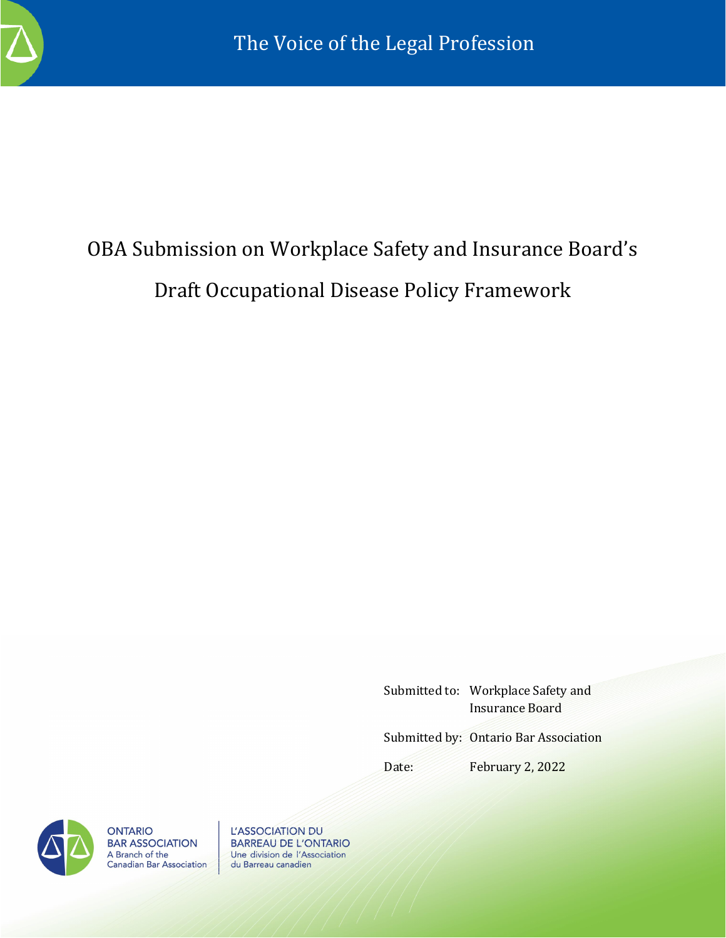

# OBA Submission on Workplace Safety and Insurance Board's Draft Occupational Disease Policy Framework

Submitted to: Workplace Safety and Insurance Board

Submitted by: Ontario Bar Association

Date: February 2, 2022



**ONTARIO BAR ASSOCIATION** A Branch of the<br>Canadian Bar Association

L'ASSOCIATION DU **BARREAU DE L'ONTARIO** Une division de l'Association du Barreau canadien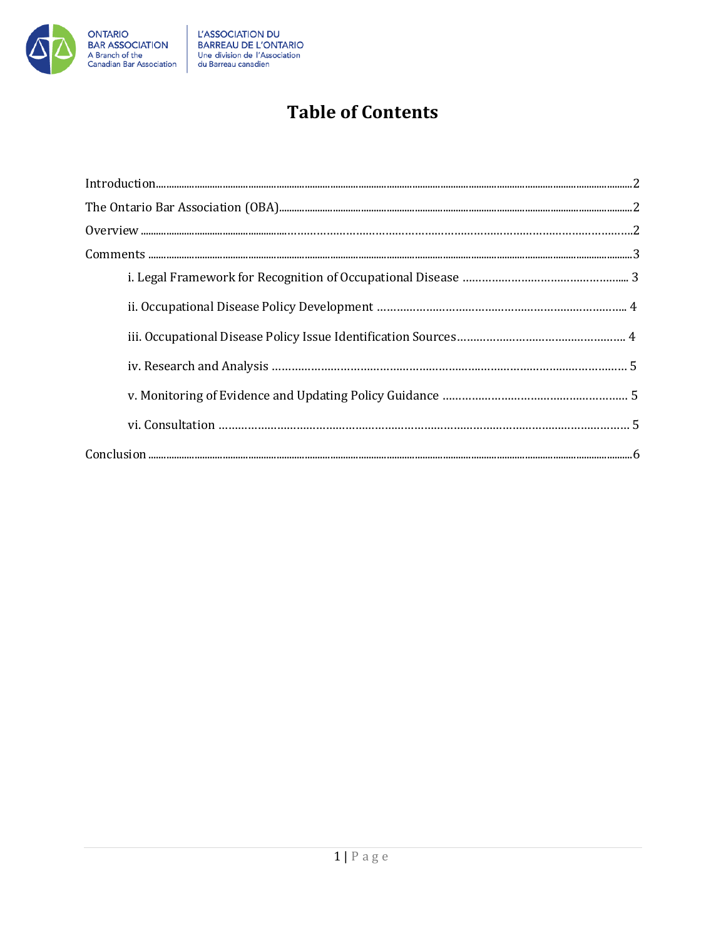

## **Table of Contents**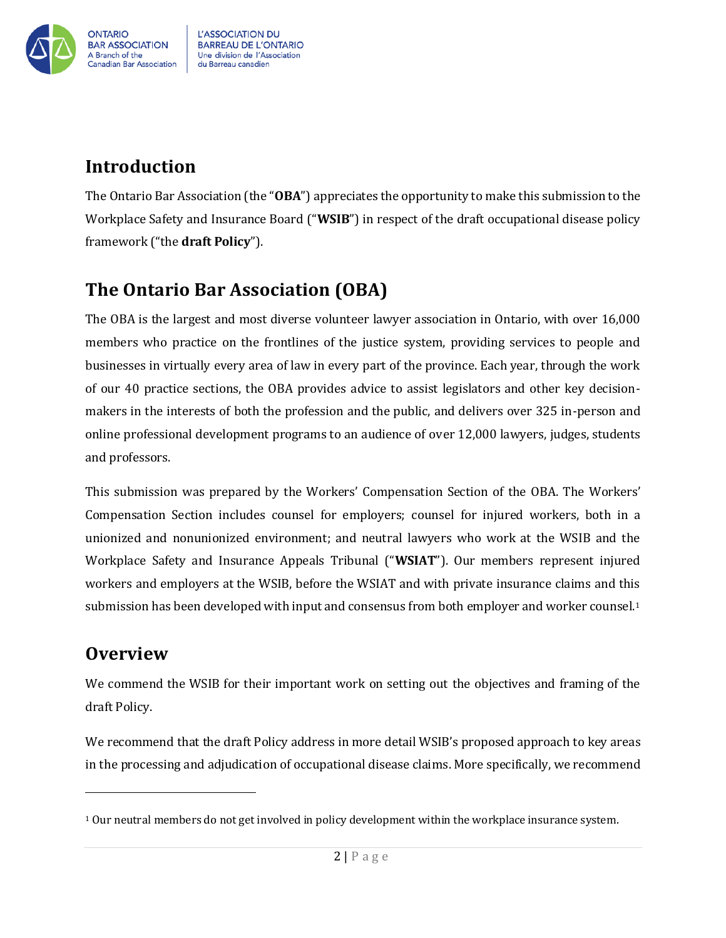

## <span id="page-2-0"></span>**Introduction**

The Ontario Bar Association (the "**OBA**") appreciates the opportunity to make this submission to the Workplace Safety and Insurance Board ("**WSIB**") in respect of the draft occupational disease policy framework ("the **draft Policy**").

## <span id="page-2-1"></span>**The Ontario Bar Association (OBA)**

The OBA is the largest and most diverse volunteer lawyer association in Ontario, with over 16,000 members who practice on the frontlines of the justice system, providing services to people and businesses in virtually every area of law in every part of the province. Each year, through the work of our 40 practice sections, the OBA provides advice to assist legislators and other key decisionmakers in the interests of both the profession and the public, and delivers over 325 in-person and online professional development programs to an audience of over 12,000 lawyers, judges, students and professors.

This submission was prepared by the Workers' Compensation Section of the OBA. The Workers' Compensation Section includes counsel for employers; counsel for injured workers, both in a unionized and nonunionized environment; and neutral lawyers who work at the WSIB and the Workplace Safety and Insurance Appeals Tribunal ("**WSIAT**"). Our members represent injured workers and employers at the WSIB, before the WSIAT and with private insurance claims and this submission has been developed with input and consensus from both employer and worker counsel.<sup>1</sup>

### **Overview**

We commend the WSIB for their important work on setting out the objectives and framing of the draft Policy.

We recommend that the draft Policy address in more detail WSIB's proposed approach to key areas in the processing and adjudication of occupational disease claims. More specifically, we recommend

<sup>1</sup> Our neutral members do not get involved in policy development within the workplace insurance system.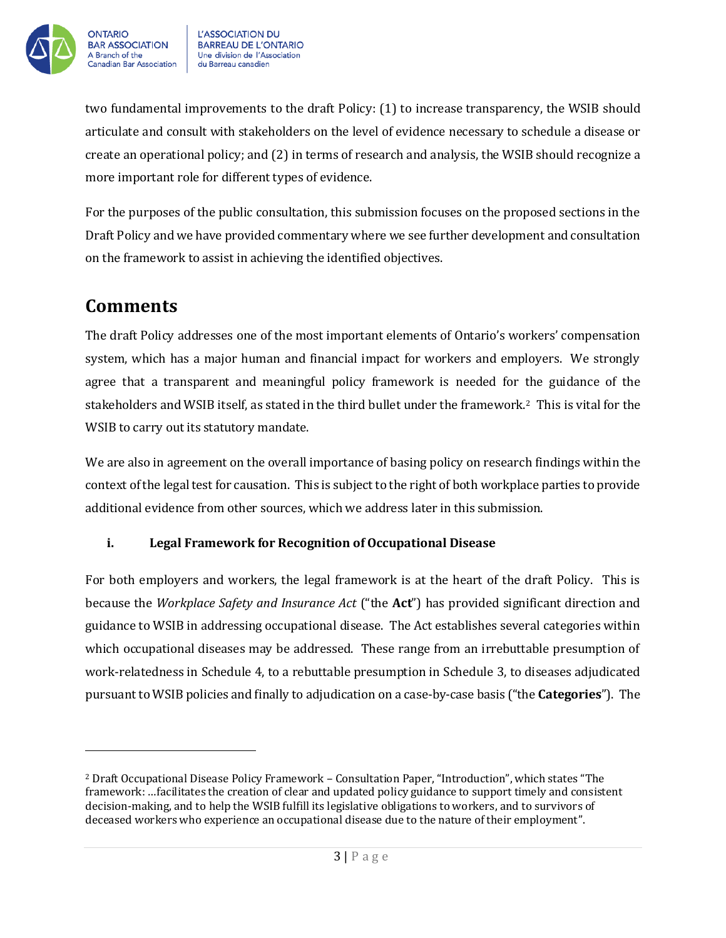

two fundamental improvements to the draft Policy: (1) to increase transparency, the WSIB should articulate and consult with stakeholders on the level of evidence necessary to schedule a disease or create an operational policy; and (2) in terms of research and analysis, the WSIB should recognize a more important role for different types of evidence.

For the purposes of the public consultation, this submission focuses on the proposed sections in the Draft Policy and we have provided commentary where we see further development and consultation on the framework to assist in achieving the identified objectives.

## **Comments**

The draft Policy addresses one of the most important elements of Ontario's workers' compensation system, which has a major human and financial impact for workers and employers. We strongly agree that a transparent and meaningful policy framework is needed for the guidance of the stakeholders and WSIB itself, as stated in the third bullet under the framework.2 This is vital for the WSIB to carry out its statutory mandate.

We are also in agreement on the overall importance of basing policy on research findings within the context of the legal test for causation. This is subject to the right of both workplace parties to provide additional evidence from other sources, which we address later in this submission.

#### **i. Legal Framework for Recognition of Occupational Disease**

For both employers and workers, the legal framework is at the heart of the draft Policy. This is because the *Workplace Safety and Insurance Act* ("the **Act**") has provided significant direction and guidance to WSIB in addressing occupational disease. The Act establishes several categories within which occupational diseases may be addressed. These range from an irrebuttable presumption of work-relatedness in Schedule 4, to a rebuttable presumption in Schedule 3, to diseases adjudicated pursuant to WSIB policies and finally to adjudication on a case-by-case basis ("the **Categories**"). The

<sup>2</sup> Draft Occupational Disease Policy Framework – Consultation Paper, "Introduction", which states "The framework: …facilitates the creation of clear and updated policy guidance to support timely and consistent decision-making, and to help the WSIB fulfill its legislative obligations to workers, and to survivors of deceased workers who experience an occupational disease due to the nature of their employment".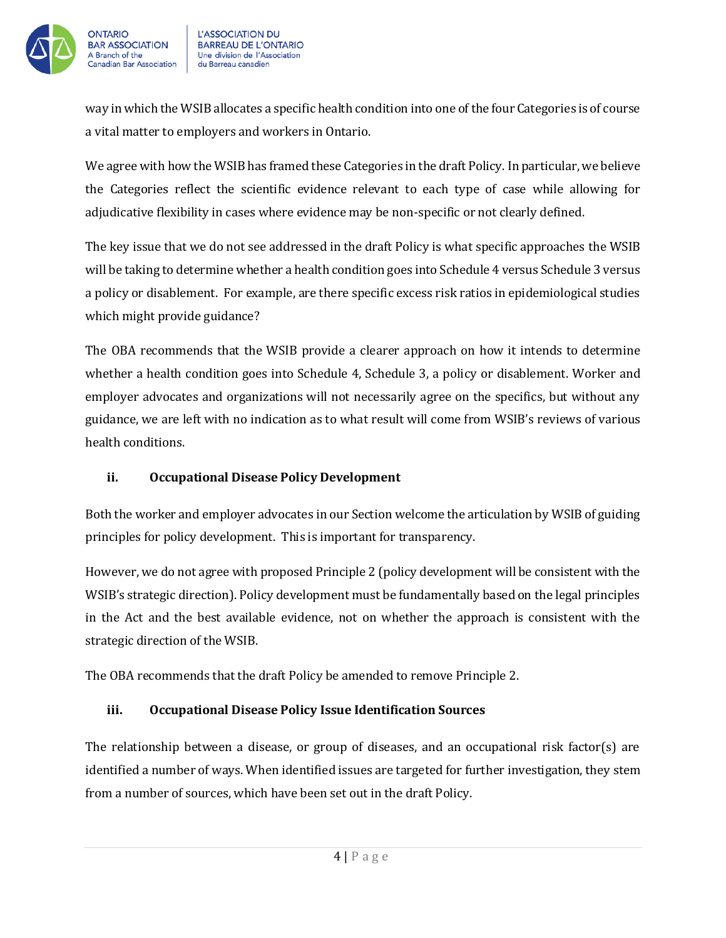

way in which the WSIB allocates a specific health condition into one of the four Categories is of course a vital matter to employers and workers in Ontario.

We agree with how the WSIB has framed these Categories in the draft Policy. In particular, we believe the Categories reflect the scientific evidence relevant to each type of case while allowing for adjudicative flexibility in cases where evidence may be non-specific or not clearly defined.

The key issue that we do not see addressed in the draft Policy is what specific approaches the WSIB will be taking to determine whether a health condition goes into Schedule 4 versus Schedule 3 versus a policy or disablement. For example, are there specific excess risk ratios in epidemiological studies which might provide guidance?

The OBA recommends that the WSIB provide a clearer approach on how it intends to determine whether a health condition goes into Schedule 4, Schedule 3, a policy or disablement. Worker and employer advocates and organizations will not necessarily agree on the specifics, but without any guidance, we are left with no indication as to what result will come from WSIB's reviews of various health conditions.

#### **ii. Occupational Disease Policy Development**

Both the worker and employer advocates in our Section welcome the articulation by WSIB of guiding principles for policy development. This is important for transparency.

However, we do not agree with proposed Principle 2 (policy development will be consistent with the WSIB's strategic direction). Policy development must be fundamentally based on the legal principles in the Act and the best available evidence, not on whether the approach is consistent with the strategic direction of the WSIB.

The OBA recommends that the draft Policy be amended to remove Principle 2.

#### **iii. Occupational Disease Policy Issue Identification Sources**

The relationship between a disease, or group of diseases, and an occupational risk factor(s) are identified a number of ways. When identified issues are targeted for further investigation, they stem from a number of sources, which have been set out in the draft Policy.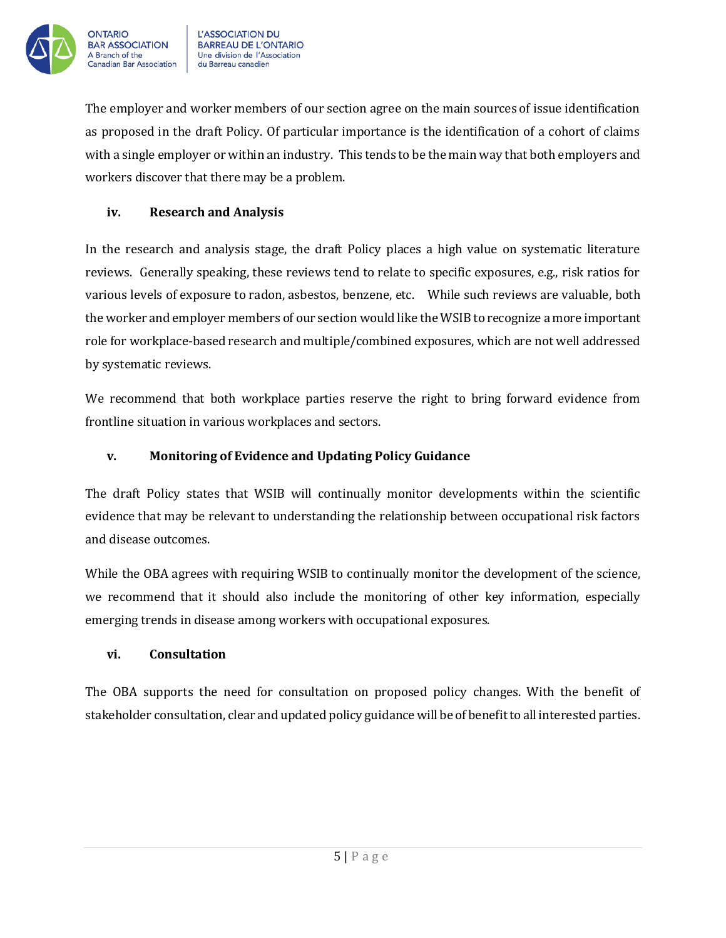

The employer and worker members of our section agree on the main sources of issue identification as proposed in the draft Policy. Of particular importance is the identification of a cohort of claims with a single employer or within an industry. This tends to be the main way that both employers and workers discover that there may be a problem.

#### **iv. Research and Analysis**

In the research and analysis stage, the draft Policy places a high value on systematic literature reviews. Generally speaking, these reviews tend to relate to specific exposures, e.g., risk ratios for various levels of exposure to radon, asbestos, benzene, etc. While such reviews are valuable, both the worker and employer members of our section would like the WSIB to recognize a more important role for workplace-based research and multiple/combined exposures, which are not well addressed by systematic reviews.

We recommend that both workplace parties reserve the right to bring forward evidence from frontline situation in various workplaces and sectors.

#### **v. Monitoring of Evidence and Updating Policy Guidance**

The draft Policy states that WSIB will continually monitor developments within the scientific evidence that may be relevant to understanding the relationship between occupational risk factors and disease outcomes.

While the OBA agrees with requiring WSIB to continually monitor the development of the science, we recommend that it should also include the monitoring of other key information, especially emerging trends in disease among workers with occupational exposures.

#### **vi. Consultation**

The OBA supports the need for consultation on proposed policy changes. With the benefit of stakeholder consultation, clear and updated policy guidance will be of benefit to all interested parties.